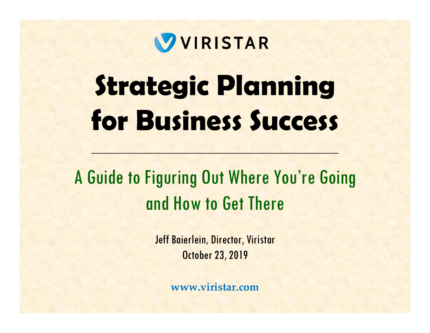

# **Strategic Planning for Business Success**

A Guide to Figuring Out Where You're Going and How to Get There

> Jeff Baierlein, Director, Viristar October 23, 2019

> > **www.viristar.com**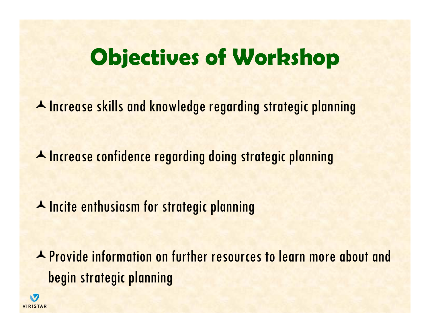## **Objectives of Workshop**

A Increase skills and knowledge regarding strategic planning

A Increase confidence regarding doing strategic planning

**A** Incite enthusiasm for strategic planning

Provide information on further resources to learn more about and begin strategic planning

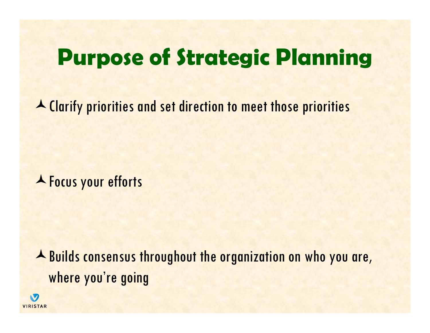### **Purpose of Strategic Planning**

Clarify priorities and set direction to meet those priorities

**A** Focus your efforts

A Builds consensus throughout the organization on who you are, where you're going

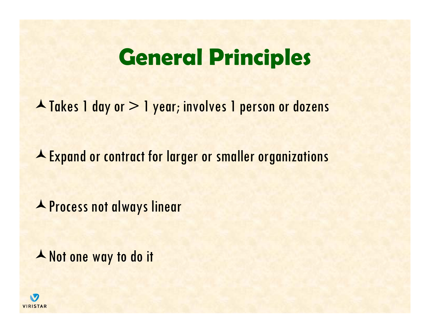### **General Principles**

▲ Takes 1 day or > 1 year; involves 1 person or dozens

Expand or contract for larger or smaller organizations

**A** Process not always linear

A Not one way to do it

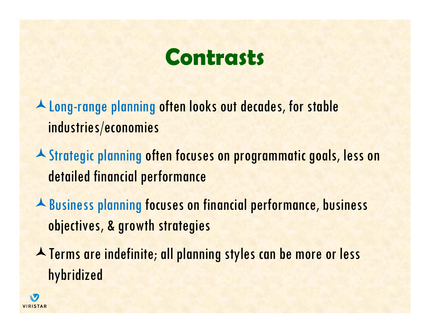## **Contrasts**

A Long-range planning often looks out decades, for stable industries/economies

- A Strategic planning often focuses on programmatic goals, less on detailed financial performance
- Business planning focuses on financial performance, business objectives, & growth strategies
- **A** Terms are indefinite; all planning styles can be more or less hybridized

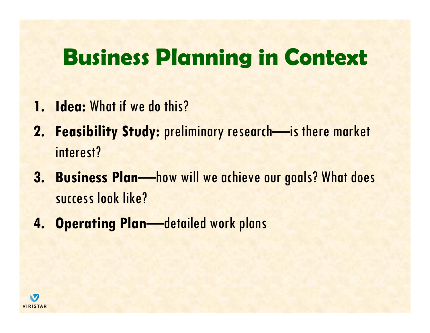## **Business Planning in Context**

- **1. Idea:** What if we do this?
- **2. Feasibility Study:** preliminary research—is there market interest?
- **3. Business Plan—how will we achieve our goals? What does** success look like?
- **4. Operating Plan—detailed work plans**

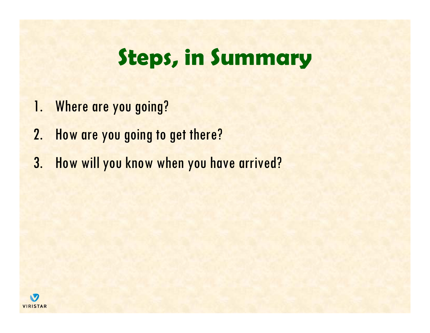## **Steps, in Summary**

- 1. Where are you going?
- 2. How are you going to get there?
- 3. How will you know when you have arrived?

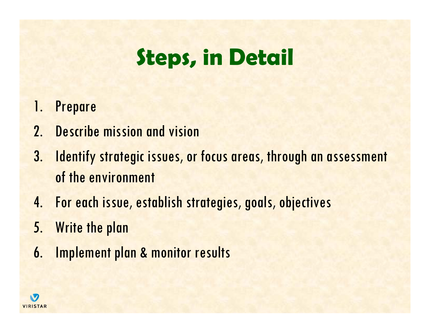## **Steps, in Detail**

- 1. Prepare
- 2. Describe mission and vision
- 3. Identify strategic issues, or focus areas, through an assessment of the environment
- 4. For each issue, establish strategies, goals, objectives
- 5. Write the plan
- 6. Implement plan & monitor results

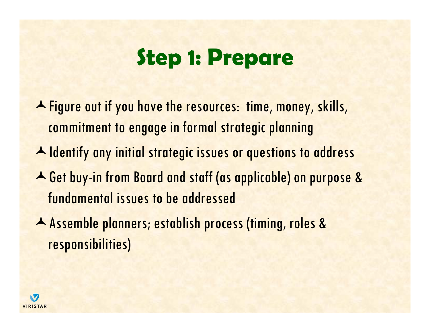## **Step 1: Prepare**

A Figure out if you have the resources: time, money, skills, commitment to engage in formal strategic planning

- A Identify any initial strategic issues or questions to address
- Get buy-in from Board and staff (as applicable) on purpose & fundamental issues to be addressed
- Assemble planners; establish process (timing, roles & responsibilities)

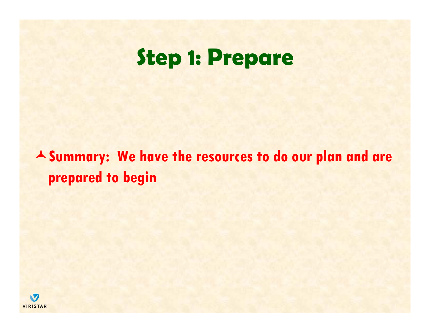## **Step 1: Prepare**

**Summary: We have the resources to do our plan and are prepared to begin**

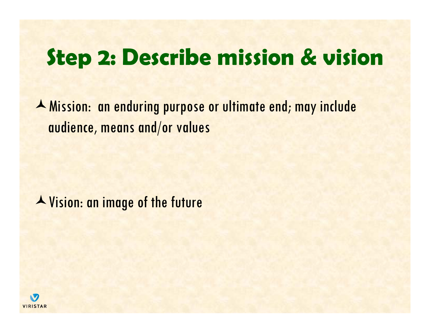A Mission: an enduring purpose or ultimate end; may include audience, means and/or values

Vision: an image of the future

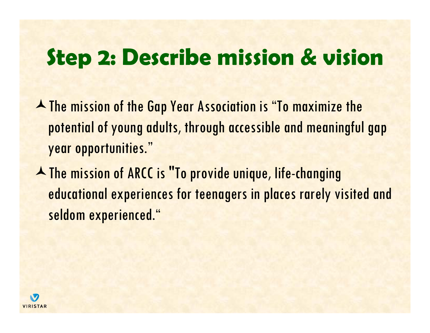- **A** The mission of the Gap Year Association is "To maximize the potential of young adults, through accessible and meaningful gap year opportunities."
- A The mission of ARCC is "To provide unique, life-changing educational experiences for teenagers in places rarely visited and seldom experienced."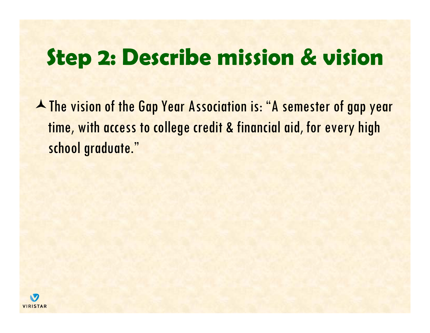A The vision of the Gap Year Association is: "A semester of gap year time, with access to college credit & financial aid, for every high school graduate."

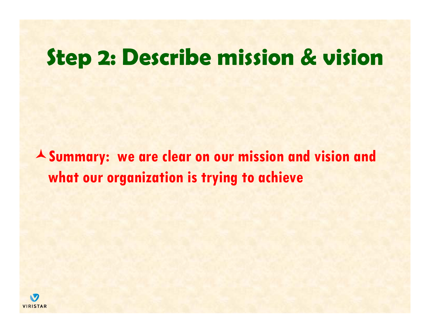**Summary: we are clear on our mission and vision and what our organization is trying to achieve**

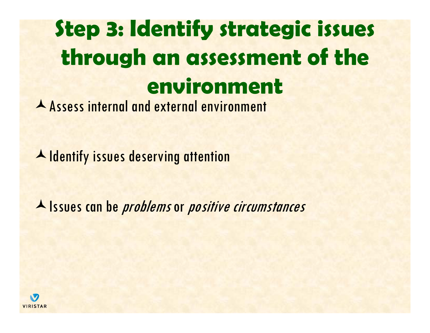# **Step 3: Identify strategic issues through an assessment of the environment**

Assess internal and external environment

A Identify issues deserving attention

A Issues can be *problems* or *positive circumstances* 

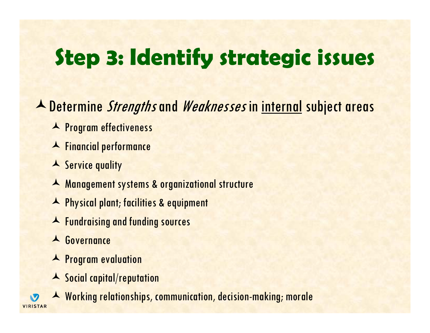A Determine Strengths and Weaknesses in internal subject areas

- **A** Program effectiveness
- Financial performance
- A Service quality
- Management systems & organizational structure
- A Physical plant; facilities & equipment
- **A** Fundraising and funding sources
- A Governance
- A Program evaluation
- A Social capital/reputation

 Working relationships, communication, decision-making; morale**VIRISTAR**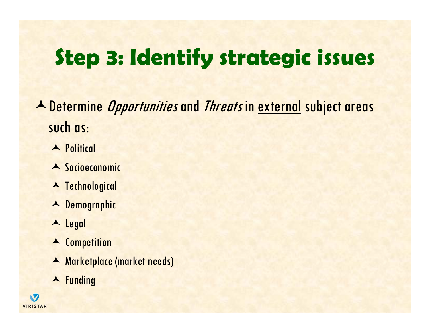**A** Determine *Opportunities* and *Threats* in external subject areas such as:

- **A** Political
- A Socioeconomic
- **A** Technological
- A Demographic
- ▲ Legal
- A Competition
- Marketplace (market needs)
- ▲ Funding

**S VIRISTAR**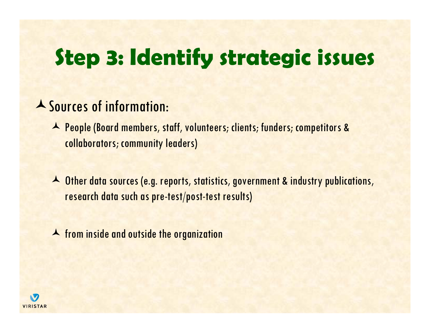### Sources of information:

- ▲ People (Board members, staff, volunteers; clients; funders; competitors & collaborators; community leaders)
- A Other data sources (e.g. reports, statistics, government & industry publications, research data such as pre-test/post-test results)
- **A** from inside and outside the organization

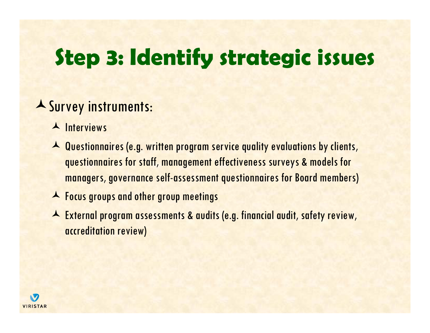### Survey instruments:

 $\blacktriangle$  Interviews

- A Questionnaires (e.g. written program service quality evaluations by clients, questionnaires for staff, management effectiveness surveys & models for managers, governance self-assessment questionnaires for Board members)
- **A** Focus groups and other group meetings
- External program assessments & audits (e.g. financial audit, safety review, accreditation review)

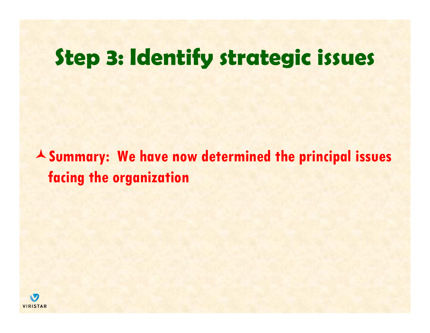**Summary: We have now determined the principal issues facing the organization**

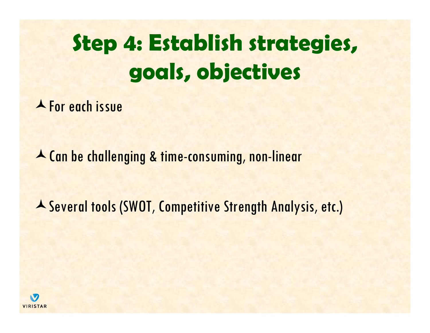**A** For each issue

Can be challenging & time-consuming, non-linear

A Several tools (SWOT, Competitive Strength Analysis, etc.)

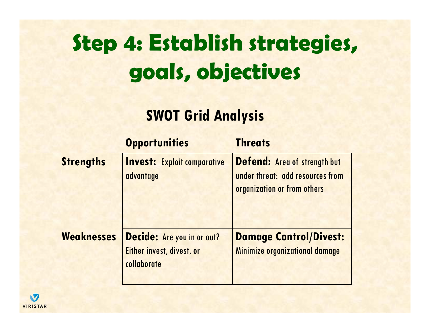### **SWOT Grid Analysis**

|                   | <b>Opportunities</b>               | <b>Threats</b>                      |
|-------------------|------------------------------------|-------------------------------------|
| <b>Strengths</b>  | <b>Invest: Exploit comparative</b> | <b>Defend: Area of strength but</b> |
|                   | advantage                          | under threat: add resources from    |
|                   |                                    | organization or from others         |
|                   |                                    |                                     |
| <b>Weaknesses</b> | <b>Decide:</b> Are you in or out?  | <b>Damage Control/Divest:</b>       |
|                   | Either invest, divest, or          | Minimize organizational damage      |
|                   | collaborate                        |                                     |
|                   |                                    |                                     |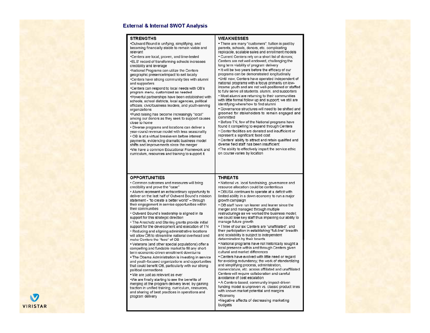

#### **External & Internal SWOT Analysis**

their communities

• Outward Bound's leadership is aligned in its

. The Anschutz and Stanley grants provide initial

support for the development and execution of TN

• Reducing and aligning administrative locations

will allow OB to streamline national overhead and

• Veterans (and other special populations) offer a

. The Obama Administration is investing in service

and youth-focused organizations and opportunities that could benefit OB, particularly with our strong

compelling and fundable market to fill any short-

term economic-driven enrollment downturns

.We are finally starting to see the benefits of

merging at the program delivery level; by gaining

traction in unified training, curriculum, resources,

and sharing of best practices in operations and

support for this strategic direction

make Centers the "face" of OB

• We are just as relevant as ever

political connections

program delivery

#### **WEAKNESSES**

**STRENGTHS** . There are many "customers"; tuition is paid by .Outward Bound is unifving, simplifying, and becoming financially stable to remain viable and parents, schools, donors, etc. complicating relevant replicable, scalable sales and enrollment models .Centers are local, proven, and time-tested • Current Centers rely on a short list of donors: Centers are not well endowed, challenging the \*ELS' record of transforming schools increases long term viability of program delivery credibility and leverage • It will be two years before the efficacy of our .National Programs can utilize the Centers programs can be demonstrated longitudinally geographic presence/impact to sell locally \*Centers have strong community ties with alumni .Until now, Centers have operated independent of national programs with a focus primarily on lowand supporters income youth and are not well-positioned or staffed \*Centers can respond to local needs with OB's to fully serve all students, alumni, and supporters program menu, customized as needed . Most alumni are returning to their communities . Powerful partnerships have been established with with little formal follow up and support; we still are schools, school districts, local agencies, political identifying where/how to find alumni officials, civic/business leaders, and youth-serving . Governance structures will need to be shifted and organizations groomed for stakeholders to remain engaged and •Fund raising has become increasingly "local" committed among our donors as they seek to support causes . Before TN, few of the National programs have close to home found it compelling to expand through Centers • Diverse programs and locations can deliver a • Center facilities are donated and insufficient or year-round revenue model with less seasonality represent a significant fixed cost • OB is at a virtual breakeven before interest . Centers' ability to attract and retain qualified and payments, evidencing dramatic business model diverse field staff has been insufficient shifts and improvements since the merger . The ability to effectively impart the service ethic .We have a common Educational Framework and on course varies by location curriculum, resources and training to support it **OPPORTUNITIES THREATS** • Common outcomes and measures will bring • National vs. local fundraising, governance and credibility and prove the "case" resource allocation could be contentious . OBUSA continues to operate at a deficit with • Alumni represent an extraordinary opportunity to deliver on the last half of Outward Bound's mission limited ability in a down economy to run a major statement - "to create a better world" - through growth campaign their engagement in service opportunities within . OB staff have run leaner and leaner since the

merger and managed through multiple restructurings as we worked the business model: we could lose key staff thus impairing our ability to manage future growth

• Three of our six Centers are "unaffiliated", and their participation in establishing "full-line" breadth and scalability is subject to independent determination by their boards

• National programs have not historically sought a local presence within and through Centers given cultural and market differences

• Centers have evolved with little need or regard for avoiding redundancy; the work of standardizing and simplifying process, administration, nomenclature, etc. across affiliated and unaffiliated Centers will require collaboration and careful avoidance of cost escalation

. A Centers-based, community impact-driven funding model is unproven vs. classic product lines with known market potential and margins •Economy

\*Negative affects of decreasing marketing budgets

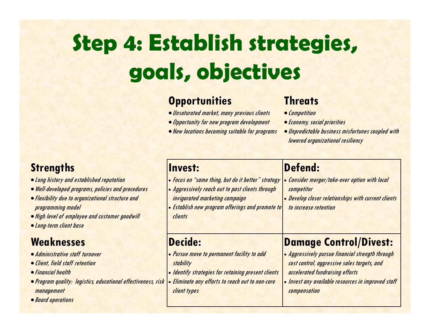### **Opportunities**

client types

- Unsaturated market, many previous clients
- Opportunity for new program development
- New locations becoming suitable for programs

### **Threats**

compensation

- Competition
- **Economy, social priorities**
- Unpredictable business misfortunes coupled with lowered organizational resiliency

#### **Invest:** Focus on "same thing, but do it better" strategy Aggressively reach out to past clients through invigorated marketing campaign Establish new program offerings and promote to clients**Defend:** Consider merger/take-over option with local competitor • Develop closer relationships with current clients to increase retention**Decide:** Pursue move to permanent facility to add stability • Identify strategies for retaining present clients Eliminate any efforts to reach out to non-core **Damage Control/Divest:** Aggressively pursue financial strength through cost control, aggressive sales targets, and accelerated fundraising efforts • Invest any available resources in improved staff

### **Strengths**

- Long history and established reputation
- Well-developed programs, policies and procedures
- Flexibility due to organizational structure and programming model
- High level of employee and customer goodwill
- Long-term client base

### **Weaknesses**

- Administrative staff turnover
- Client, field staff retention
- **Financial health**
- **Program quality: logistics, educational effectiveness, risk** management
- Board operations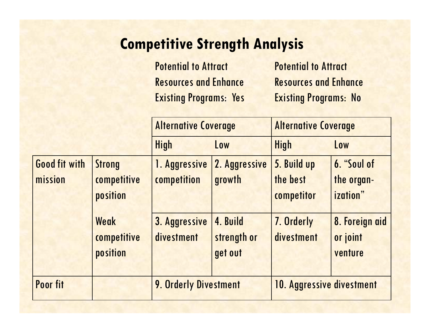### **Competitive Strength Analysis**

Potential to Attract Resources and Enhance Existing Programs: Yes

Potential to Attract Resources and Enhance Existing Programs: No

|                 |               | <b>Alternative Coverage</b>  |               | <b>Alternative Coverage</b> |                                |  |  |
|-----------------|---------------|------------------------------|---------------|-----------------------------|--------------------------------|--|--|
|                 |               | <b>High</b>                  | Low           | <b>High</b>                 | Low                            |  |  |
| Good fit with   | <b>Strong</b> | 1. Aggressive                | 2. Aggressive | 5. Build up                 | 6. "Soul of                    |  |  |
| mission         | competitive   | competition                  | growth        | the best                    | the organ-<br><i>ization</i> " |  |  |
|                 | position      |                              |               | competitor                  |                                |  |  |
|                 | Weak          | 3. Aggressive                | 4. Build      | 7. Orderly                  | 8. Foreign aid                 |  |  |
|                 | competitive   | divestment                   | strength or   | divestment                  | or joint                       |  |  |
|                 | position      |                              | get out       |                             | venture                        |  |  |
|                 |               |                              |               |                             |                                |  |  |
| <b>Poor fit</b> |               | <b>9. Orderly Divestment</b> |               | 10. Aggressive divestment   |                                |  |  |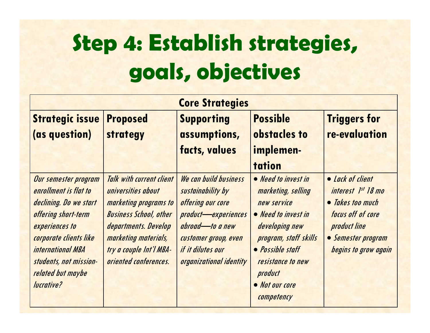|                                                                                                                                                                                                                                            | <b>Core Strategies</b>                                                                                                                                                                                              |                                                                                                                                                                                                 |                                                                                                                                                                                                                |                                                                                                                                               |  |  |  |  |  |
|--------------------------------------------------------------------------------------------------------------------------------------------------------------------------------------------------------------------------------------------|---------------------------------------------------------------------------------------------------------------------------------------------------------------------------------------------------------------------|-------------------------------------------------------------------------------------------------------------------------------------------------------------------------------------------------|----------------------------------------------------------------------------------------------------------------------------------------------------------------------------------------------------------------|-----------------------------------------------------------------------------------------------------------------------------------------------|--|--|--|--|--|
| <b>Strategic issue</b>                                                                                                                                                                                                                     | <b>Proposed</b>                                                                                                                                                                                                     | <b>Supporting</b>                                                                                                                                                                               | <b>Possible</b>                                                                                                                                                                                                | <b>Triggers for</b>                                                                                                                           |  |  |  |  |  |
| (as question)                                                                                                                                                                                                                              | strategy                                                                                                                                                                                                            | assumptions,                                                                                                                                                                                    | obstacles to                                                                                                                                                                                                   | re-evaluation                                                                                                                                 |  |  |  |  |  |
|                                                                                                                                                                                                                                            |                                                                                                                                                                                                                     | facts, values                                                                                                                                                                                   | implemen-                                                                                                                                                                                                      |                                                                                                                                               |  |  |  |  |  |
|                                                                                                                                                                                                                                            |                                                                                                                                                                                                                     |                                                                                                                                                                                                 | tation                                                                                                                                                                                                         |                                                                                                                                               |  |  |  |  |  |
| Our semester program<br>enrollment is flat to<br>declining. Do we start<br>offering short-term<br>experiences to<br>corporate clients like<br><i><b>international MBA</b></i><br>students, not mission-<br>related but maybe<br>lucrative? | <b>Talk with current client</b><br>universities about<br>marketing programs to<br><b>Business School, other</b><br>departments. Develop<br>marketing materials,<br>try a couple Int'l MBA-<br>oriented conferences. | We can build business<br>sustainability by<br>offering our core<br>product-experiences<br>abroad-to a new<br>customer group, even<br>if it dilutes our<br><i><b>organizational identity</b></i> | • Need to invest in<br>marketing, selling<br>new service<br>• Need to invest in<br>developing new<br>program, staff skills<br>• Possible staff<br>resistance to new<br>product<br>• Not our core<br>competency | • Lack of client<br>interest 1st 18 mo<br>• Takes too much<br>focus off of core<br>product line<br>• Semester program<br>begins to grow again |  |  |  |  |  |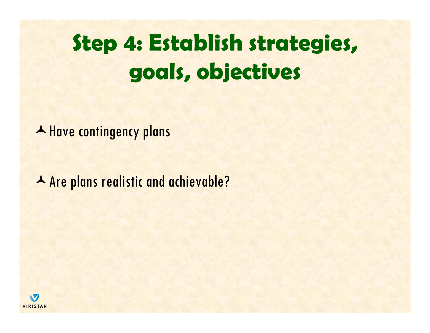A Have contingency plans

Are plans realistic and achievable?

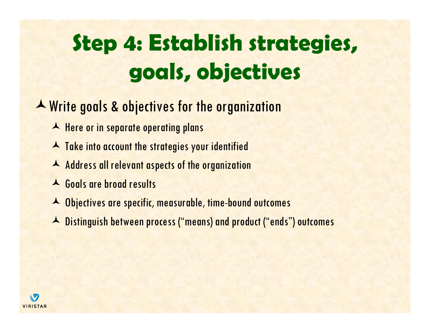### A Write goals & objectives for the organization

- A Here or in separate operating plans
- A Take into account the strategies your identified
- A Address all relevant aspects of the organization
- Goals are broad results
- A Objectives are specific, measurable, time-bound outcomes
- A Distinguish between process ("means) and product ("ends") outcomes

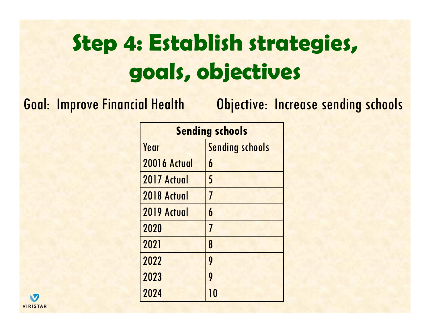Goal: Improve Financial Health Objective: Increase sending schools

| <b>Sending schools</b> |                          |  |  |  |  |
|------------------------|--------------------------|--|--|--|--|
| Year                   | <b>Sending schools</b>   |  |  |  |  |
| <b>20016 Actual</b>    | 6                        |  |  |  |  |
| 2017 Actual            | 5                        |  |  |  |  |
| 2018 Actual            | $\overline{\mathcal{I}}$ |  |  |  |  |
| 2019 Actual            | 6                        |  |  |  |  |
| 2020                   | $\overline{I}$           |  |  |  |  |
| 2021                   | 8                        |  |  |  |  |
| 2022                   | 9                        |  |  |  |  |
| 2023                   | 9                        |  |  |  |  |
| 2024                   | 10                       |  |  |  |  |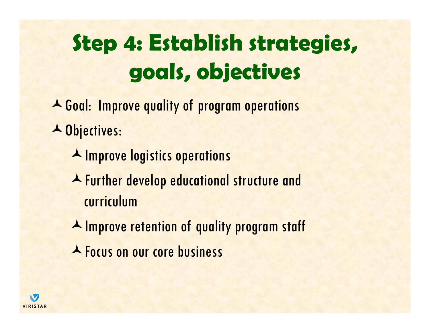- **A** Goal: Improve quality of program operations **A** Objectives:
	- **A** Improve logistics operations
	- Further develop educational structure and curriculum
	- **A Improve retention of quality program staff**
	- **A** Focus on our core business

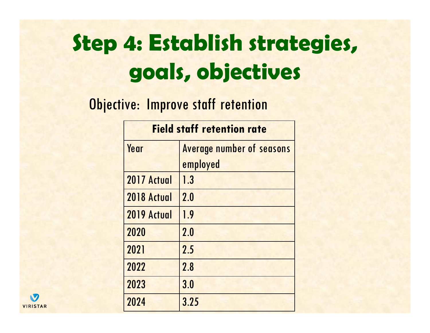**Objective: Improve staff retention** 

|             | <b>Field staff retention rate</b> |
|-------------|-----------------------------------|
| Year        | <b>Average number of seasons</b>  |
|             | employed                          |
| 2017 Actual | 1.3                               |
| 2018 Actual | 2.0                               |
| 2019 Actual | 1.9                               |
| 2020        | 2.0                               |
| 2021        | 2.5                               |
| 2022        | 2.8                               |
| 2023        | 3.0                               |
| 2024        | 3.25                              |

N **VIRISTAR**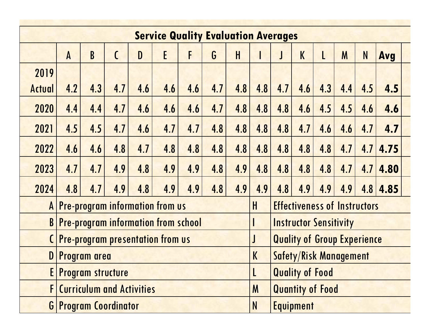| <b>Service Quality Evaluation Averages</b> |              |     |               |     |                                            |                         |                                    |     |     |                                     |                               |     |     |     |              |  |
|--------------------------------------------|--------------|-----|---------------|-----|--------------------------------------------|-------------------------|------------------------------------|-----|-----|-------------------------------------|-------------------------------|-----|-----|-----|--------------|--|
|                                            | $\mathsf{A}$ | B   | $\mathcal{C}$ | D   | E                                          | F                       | G                                  | H   |     |                                     | K                             |     | M   | N   | Avg          |  |
| 2019                                       |              |     |               |     |                                            |                         |                                    |     |     |                                     |                               |     |     |     |              |  |
| Actual                                     | 4.2          | 4.3 | 4.7           | 4.6 | 4.6                                        | 4.6                     | 4.7                                | 4.8 | 4.8 | 4.7                                 | 4.6                           | 4.3 | 4.4 | 4.5 | 4.5          |  |
| 2020                                       | 4.4          | 4.4 | 4.7           | 4.6 | 4.6                                        | 4.6                     | 4.7                                | 4.8 | 4.8 | 4.8                                 | 4.6                           | 4.5 | 4.5 | 4.6 | 4.6          |  |
| 2021                                       | 4.5          | 4.5 | 4.7           | 4.6 | 4.7                                        | 4.7                     | 4.8                                | 4.8 | 4.8 | 4.8                                 | 4.7                           | 4.6 | 4.6 | 4.7 | 4.7          |  |
| 2022                                       | 4.6          | 4.6 | 4.8           | 4.7 | 4.8                                        | 4.8                     | 4.8                                | 4.8 | 4.8 | 4.8                                 | 4.8                           | 4.8 | 4.7 | 4.7 | 4.75         |  |
| 2023                                       | 4.7          | 4.7 | 4.9           | 4.8 | 4.9                                        | 4.9                     | 4.8                                | 4.9 | 4.8 | 4.8                                 | 4.8                           | 4.8 | 4.7 | 4.7 | 4.80         |  |
| 2024                                       | 4.8          | 4.7 | 4.9           | 4.8 | 4.9                                        | 4.9                     | 4.8                                | 4.9 | 4.9 | 4.8                                 | 4.9                           | 4.9 | 4.9 |     | $4.8$   4.85 |  |
| $\mathsf{A}$                               |              |     |               |     | <b>Pre-program information from us</b>     |                         |                                    |     | H   | <b>Effectiveness of Instructors</b> |                               |     |     |     |              |  |
| $\mathbf{B}$                               |              |     |               |     | <b>Pre-program information from school</b> |                         |                                    |     |     |                                     | <b>Instructor Sensitivity</b> |     |     |     |              |  |
| <b>Pre-program presentation from us</b>    |              |     |               |     |                                            | J                       | <b>Quality of Group Experience</b> |     |     |                                     |                               |     |     |     |              |  |
| $\mathbf{D}$<br>Program area               |              |     |               |     | $\mathsf K$                                |                         | <b>Safety/Risk Management</b>      |     |     |                                     |                               |     |     |     |              |  |
| EI<br><b>Program structure</b>             |              |     |               |     |                                            |                         | <b>Quality of Food</b>             |     |     |                                     |                               |     |     |     |              |  |
| <b>Curriculum and Activities</b><br>FI     |              |     |               |     | M                                          | <b>Quantity of Food</b> |                                    |     |     |                                     |                               |     |     |     |              |  |
| <b>G Program Coordinator</b>               |              |     |               |     | N                                          |                         | <b>Equipment</b>                   |     |     |                                     |                               |     |     |     |              |  |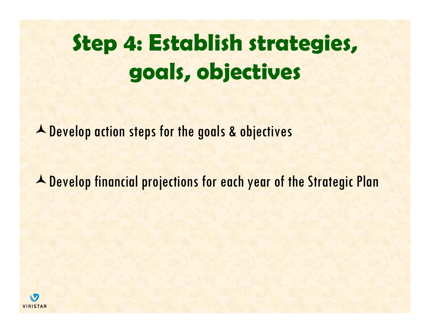▲ Develop action steps for the goals & objectives

**A** Develop financial projections for each year of the Strategic Plan

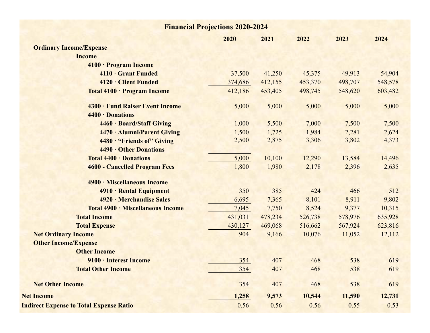| <b>Financial Projections 2020-2024</b>              |         |         |         |         |         |  |  |  |
|-----------------------------------------------------|---------|---------|---------|---------|---------|--|--|--|
|                                                     | 2020    | 2021    | 2022    | 2023    | 2024    |  |  |  |
| <b>Ordinary Income/Expense</b>                      |         |         |         |         |         |  |  |  |
| <b>Income</b>                                       |         |         |         |         |         |  |  |  |
| 4100 · Program Income                               |         |         |         |         |         |  |  |  |
| 4110 · Grant Funded                                 | 37,500  | 41,250  | 45,375  | 49,913  | 54,904  |  |  |  |
| 4120 Client Funded                                  | 374,686 | 412,155 | 453,370 | 498,707 | 548,578 |  |  |  |
| Total 4100 · Program Income                         | 412,186 | 453,405 | 498,745 | 548,620 | 603,482 |  |  |  |
| 4300 · Fund Raiser Event Income<br>4400 · Donations | 5,000   | 5,000   | 5,000   | 5,000   | 5,000   |  |  |  |
| 4460 · Board/Staff Giving                           | 1,000   | 5,500   | 7,000   | 7,500   | 7,500   |  |  |  |
| 4470 · Alumni/Parent Giving                         | 1,500   | 1,725   | 1,984   | 2,281   | 2,624   |  |  |  |
| 4480 · "Friends of" Giving                          | 2,500   | 2,875   | 3,306   | 3,802   | 4,373   |  |  |  |
| 4490 Other Donations                                |         |         |         |         |         |  |  |  |
| Total 4400 · Donations                              | 5,000   | 10,100  | 12,290  | 13,584  | 14,496  |  |  |  |
| <b>4600 - Cancelled Program Fees</b>                | 1,800   | 1,980   | 2,178   | 2,396   | 2,635   |  |  |  |
| 4900 · Miscellaneous Income                         |         |         |         |         |         |  |  |  |
| 4910 · Rental Equipment                             | 350     | 385     | 424     | 466     | 512     |  |  |  |
| 4920 · Merchandise Sales                            | 6,695   | 7,365   | 8,101   | 8,911   | 9,802   |  |  |  |
| Total 4900 · Miscellaneous Income                   | 7,045   | 7,750   | 8,524   | 9,377   | 10,315  |  |  |  |
| <b>Total Income</b>                                 | 431,031 | 478,234 | 526,738 | 578,976 | 635,928 |  |  |  |
| <b>Total Expense</b>                                | 430,127 | 469,068 | 516,662 | 567,924 | 623,816 |  |  |  |
| <b>Net Ordinary Income</b>                          | 904     | 9,166   | 10,076  | 11,052  | 12,112  |  |  |  |
| <b>Other Income/Expense</b>                         |         |         |         |         |         |  |  |  |
| <b>Other Income</b>                                 |         |         |         |         |         |  |  |  |
| 9100 · Interest Income                              | 354     | 407     | 468     | 538     | 619     |  |  |  |
| <b>Total Other Income</b>                           | 354     | 407     | 468     | 538     | 619     |  |  |  |
| <b>Net Other Income</b>                             | 354     | 407     | 468     | 538     | 619     |  |  |  |
| <b>Net Income</b>                                   | 1,258   | 9,573   | 10,544  | 11,590  | 12,731  |  |  |  |
| <b>Indirect Expense to Total Expense Ratio</b>      | 0.56    | 0.56    | 0.56    | 0.55    | 0.53    |  |  |  |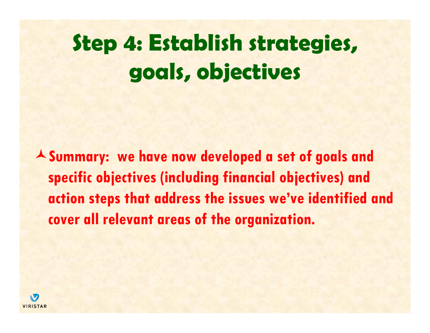**Summary: we have now developed a set of goals and specific objectives (including financial objectives) and action steps that address the issues we've identified and cover all relevant areas of the organization.** 

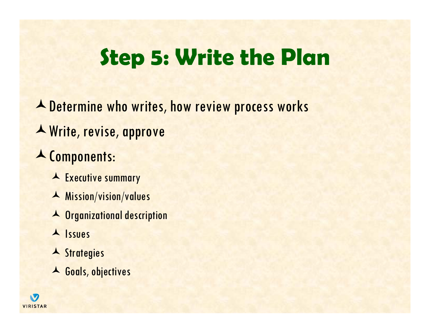## **Step 5: Write the Plan**

**A** Determine who writes, how review process works

Write, revise, approve

### Components:

- A Executive summary
- Mission/vision/values
- Organizational description
- A Issues
- **A** Strategies
- Goals, objectives

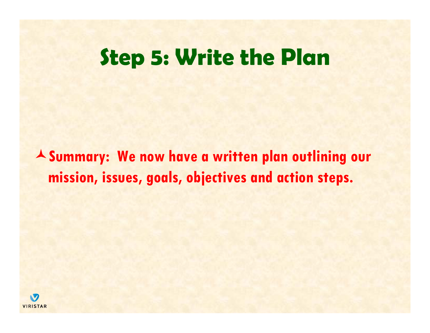### **Step 5: Write the Plan**

**Summary: We now have a written plan outlining our mission, issues, goals, objectives and action steps.** 

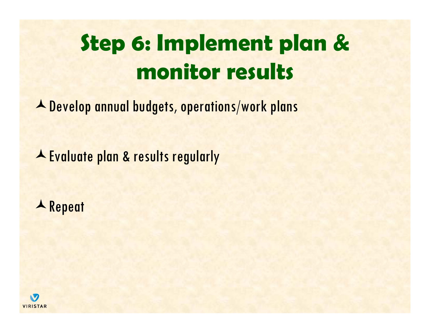# **Step 6: Implement plan & monitor results**

Develop annual budgets, operations/work plans

A Evaluate plan & results regularly

**A** Repeat

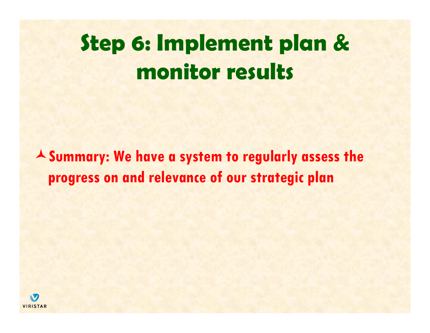## **Step 6: Implement plan & monitor results**

**Summary: We have a system to regularly assess the progress on and relevance of our strategic plan**